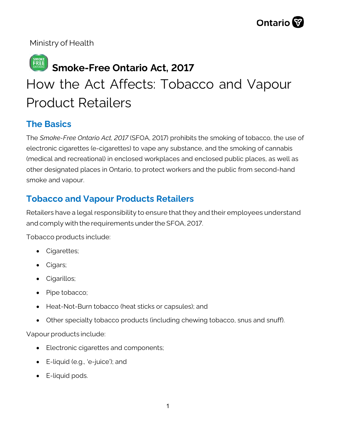Ministry of Health

# **Smoke-Free Ontario Act, 2017** How the Act Affects: Tobacco and Vapour Product Retailers

# **The Basics**

The *Smoke-Free Ontario Act, 2017* (SFOA, 2017) prohibits the smoking of tobacco, the use of electronic cigarettes (e-cigarettes) to vape any substance, and the smoking of cannabis (medical and recreational) in enclosed workplaces and enclosed public places, as well as other designated places in Ontario, to protect workers and the public from second-hand smoke and vapour.

# **Tobacco and Vapour Products Retailers**

Retailers have a legal responsibility to ensure that they and their employees understand and comply with the requirements under the SFOA, 2017.

Tobacco products include:

- Cigarettes;
- Cigars;
- Cigarillos;
- Pipe tobacco;
- Heat-Not-Burn tobacco (heat sticks or capsules); and
- Other specialty tobacco products (including chewing tobacco, snus and snuff).

Vapour products include:

- Electronic cigarettes and components;
- E-liquid (e.g., 'e-juice'); and
- E-liquid pods.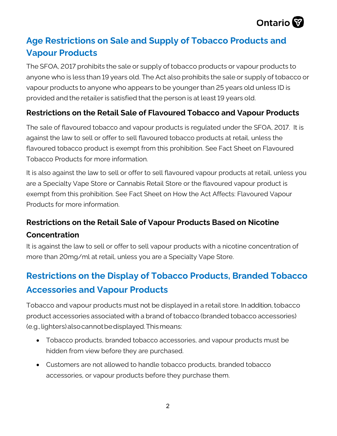

# **Age Restrictions on Sale and Supply of Tobacco Products and Vapour Products**

The SFOA, 2017 prohibits the sale or supply of tobacco products or vapour products to anyone who is less than 19 years old. The Act also prohibits the sale or supply of tobacco or vapour products to anyone who appears to be younger than 25 years old unless ID is provided and the retailer is satisfied that the person is at least 19 years old.

### **Restrictions on the Retail Sale of Flavoured Tobacco and Vapour Products**

The sale of flavoured tobacco and vapour products is regulated under the SFOA, 2017. It is against the law to sell or offer to sell flavoured tobacco products at retail, unless the flavoured tobacco product is exempt from this prohibition. See Fact Sheet on Flavoured Tobacco Products for more information.

It is also against the law to sell or offer to sell flavoured vapour products at retail, unless you are a Specialty Vape Store or Cannabis Retail Store or the flavoured vapour product is exempt from this prohibition. See Fact Sheet on How the Act Affects: Flavoured Vapour Products for more information.

# **Restrictions on the Retail Sale of Vapour Products Based on Nicotine Concentration**

It is against the law to sell or offer to sell vapour products with a nicotine concentration of more than 20mg/ml at retail, unless you are a Specialty Vape Store.

# **Restrictions on the Display of Tobacco Products, Branded Tobacco Accessories and Vapour Products**

Tobacco and vapour products must not be displayed in a retail store. In addition, tobacco product accessories associated with a brand of tobacco (branded tobacco accessories) (e.g., lighters)alsocannot be displayed. Thismeans:

- Tobacco products, branded tobacco accessories, and vapour products must be hidden from view before they are purchased.
- Customers are not allowed to handle tobacco products, branded tobacco accessories, or vapour products before they purchase them.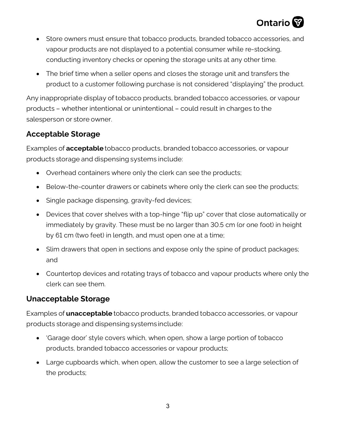

- Store owners must ensure that tobacco products, branded tobacco accessories, and vapour products are not displayed to a potential consumer while re-stocking, conducting inventory checks or opening the storage units at any other time.
- The brief time when a seller opens and closes the storage unit and transfers the product to a customer following purchase is not considered "displaying" the product.

Any inappropriate display of tobacco products, branded tobacco accessories, or vapour products – whether intentional or unintentional – could result in charges to the salesperson or store owner.

#### **Acceptable Storage**

Examples of **acceptable** tobacco products, branded tobacco accessories, or vapour products storage and dispensing systems include:

- Overhead containers where only the clerk can see the products;
- Below-the-counter drawers or cabinets where only the clerk can see the products;
- Single package dispensing, gravity-fed devices;
- Devices that cover shelves with a top-hinge "flip up" cover that close automatically or immediately by gravity. These must be no larger than 30.5 cm (or one foot) in height by 61 cm (two feet) in length, and must open one at a time;
- Slim drawers that open in sections and expose only the spine of product packages; and
- Countertop devices and rotating trays of tobacco and vapour products where only the clerk can see them.

#### **Unacceptable Storage**

Examples of **unacceptable** tobacco products, branded tobacco accessories, or vapour products storage and dispensingsystems include:

- 'Garage door' style covers which, when open, show a large portion of tobacco products, branded tobacco accessories or vapour products;
- Large cupboards which, when open, allow the customer to see a large selection of the products;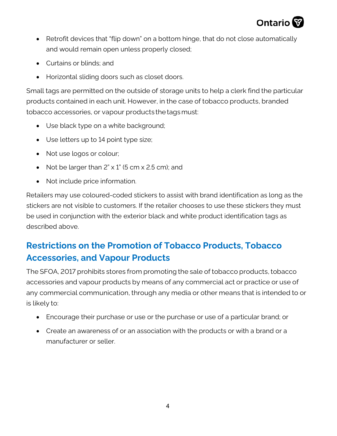

- Retrofit devices that "flip down" on a bottom hinge, that do not close automatically and would remain open unless properly closed;
- Curtains or blinds; and
- Horizontal sliding doors such as closet doors.

Small tags are permitted on the outside of storage units to help a clerk find the particular products contained in each unit. However, in the case of tobacco products, branded tobacco accessories, or vapour products the tags must:

- Use black type on a white background;
- Use letters up to 14 point type size;
- Not use logos or colour;
- Not be larger than  $2" \times 1"$  (5 cm  $\times$  2.5 cm); and
- Not include price information.

Retailers may use coloured-coded stickers to assist with brand identification as long as the stickers are not visible to customers. If the retailer chooses to use these stickers they must be used in conjunction with the exterior black and white product identification tags as described above.

# **Restrictions on the Promotion of Tobacco Products, Tobacco Accessories, and Vapour Products**

The SFOA, 2017 prohibits stores from promoting the sale of tobacco products, tobacco accessories and vapour products by means of any commercial act or practice or use of any commercial communication, through any media or other means that is intended to or is likely to:

- Encourage their purchase or use or the purchase or use of a particular brand; or
- Create an awareness of or an association with the products or with a brand or a manufacturer or seller.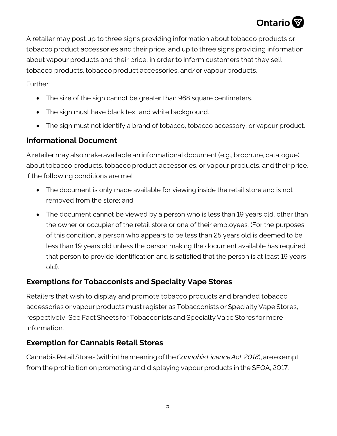# Ontario<sup>W</sup>

A retailer may post up to three signs providing information about tobacco products or tobacco product accessories and their price, and up to three signs providing information about vapour products and their price, in order to inform customers that they sell tobacco products, tobacco product accessories, and/or vapour products.

Further:

- The size of the sign cannot be greater than 968 square centimeters.
- The sign must have black text and white background.
- The sign must not identify a brand of tobacco, tobacco accessory, or vapour product.

# **Informational Document**

A retailer may also make available an informational document (e.g., brochure, catalogue) about tobacco products, tobacco product accessories, or vapour products, and their price, if the following conditions are met:

- The document is only made available for viewing inside the retail store and is not removed from the store; and
- The document cannot be viewed by a person who is less than 19 years old, other than the owner or occupier of the retail store or one of their employees. (For the purposes of this condition, a person who appears to be less than 25 years old is deemed to be less than 19 years old unless the person making the document available has required that person to provide identification and is satisfied that the person is at least 19 years old).

# **Exemptions for Tobacconists and Specialty Vape Stores**

Retailers that wish to display and promote tobacco products and branded tobacco accessories or vapour products must register as Tobacconists or Specialty Vape Stores, respectively. See Fact Sheets for Tobacconists and Specialty Vape Stores for more information.

# **Exemption for Cannabis Retail Stores**

Cannabis Retail Stores (within the meaning of the*Cannabis Licence Act,2018*), are exempt from the prohibition on promoting and displaying vapour products in the SFOA, 2017.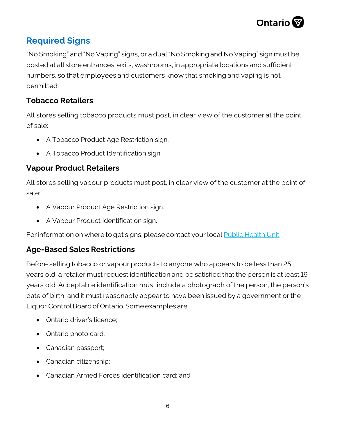

# **Required Signs**

"No Smoking" and "No Vaping" signs, or a dual "No Smoking and No Vaping" sign must be posted at all store entrances, exits, washrooms, in appropriate locations and sufficient numbers, so that employees and customers know that smoking and vaping is not permitted.

## **Tobacco Retailers**

All stores selling tobacco products must post, in clear view of the customer at the point of sale:

- A Tobacco Product Age Restriction sign.
- A Tobacco Product Identification sign.

#### **Vapour Product Retailers**

All stores selling vapour products must post, in clear view of the customer at the point of sale:

- A Vapour Product Age Restriction sign.
- A Vapour Product Identification sign.

For information on where to get signs, please contact your loca[l Public Health Unit.](https://www.phdapps.health.gov.on.ca/phulocator/Default.aspx)

#### **Age-Based Sales Restrictions**

Before selling tobacco or vapour products to anyone who appears to be less than 25 years old, a retailer must request identification and be satisfied that the person is at least 19 years old. Acceptable identification must include a photograph of the person, the person's date of birth, and it must reasonably appear to have been issued by a government or the Liquor Control Board of Ontario. Some examples are:

- Ontario driver's licence;
- Ontario photo card;
- Canadian passport;
- Canadian citizenship;
- Canadian Armed Forces identification card; and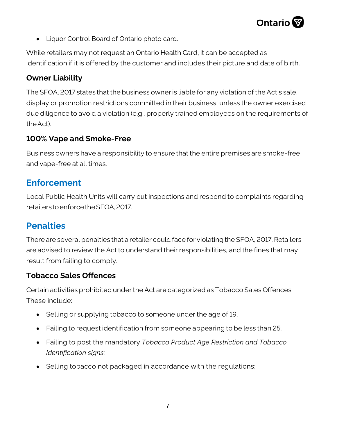

• Liquor Control Board of Ontario photo card.

While retailers may not request an Ontario Health Card, it can be accepted as identification if it is offered by the customer and includes their picture and date of birth.

#### **Owner Liability**

The SFOA, 2017 states that the business owner is liable for any violation of the Act's sale, display or promotion restrictions committed in their business, unless the owner exercised due diligence to avoid a violation (e.g., properly trained employees on the requirements of the Act).

#### **100% Vape and Smoke-Free**

Business owners have a responsibility to ensure that the entire premises are smoke-free and vape-free at all times.

# **Enforcement**

Local Public Health Units will carry out inspections and respond to complaints regarding retailers to enforce the SFOA, 2017.

# **Penalties**

There are several penalties that a retailer could face for violating the SFOA, 2017. Retailers are advised to review the Act to understand their responsibilities, and the fines that may result from failing to comply.

#### **Tobacco Sales Offences**

Certain activities prohibited under the Act are categorized as Tobacco Sales Offences. These include:

- Selling or supplying tobacco to someone under the age of 19;
- Failing to request identification from someone appearing to be less than 25;
- Failing to post the mandatory *Tobacco Product Age Restriction and Tobacco Identification signs;*
- Selling tobacco not packaged in accordance with the regulations;